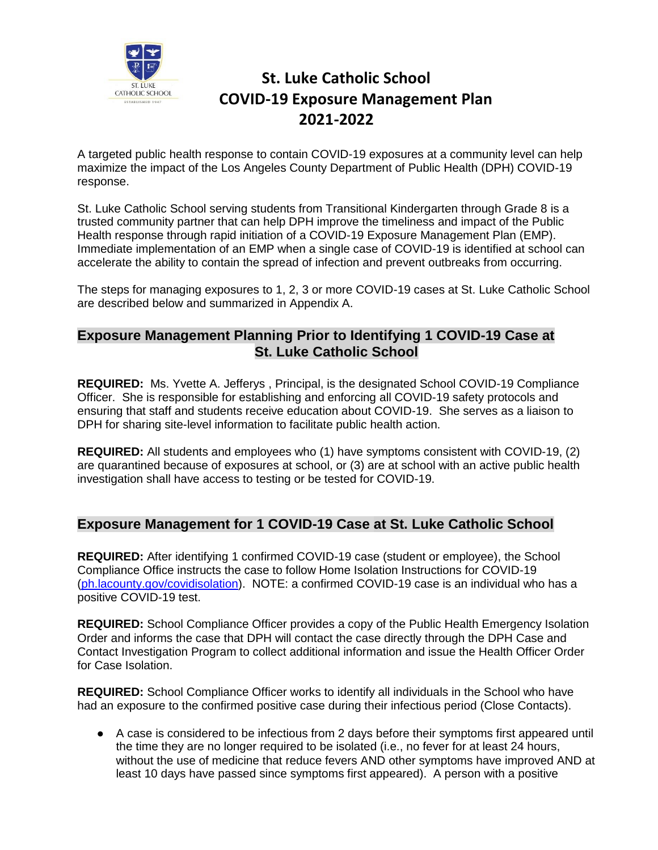

# **St. Luke Catholic School COVID-19 Exposure Management Plan 2021-2022**

A targeted public health response to contain COVID-19 exposures at a community level can help maximize the impact of the Los Angeles County Department of Public Health (DPH) COVID-19 response.

St. Luke Catholic School serving students from Transitional Kindergarten through Grade 8 is a trusted community partner that can help DPH improve the timeliness and impact of the Public Health response through rapid initiation of a COVID-19 Exposure Management Plan (EMP). Immediate implementation of an EMP when a single case of COVID-19 is identified at school can accelerate the ability to contain the spread of infection and prevent outbreaks from occurring.

The steps for managing exposures to 1, 2, 3 or more COVID-19 cases at St. Luke Catholic School are described below and summarized in Appendix A.

#### **Exposure Management Planning Prior to Identifying 1 COVID-19 Case at St. Luke Catholic School**

**REQUIRED:** Ms. Yvette A. Jefferys , Principal, is the designated School COVID-19 Compliance Officer. She is responsible for establishing and enforcing all COVID-19 safety protocols and ensuring that staff and students receive education about COVID-19. She serves as a liaison to DPH for sharing site-level information to facilitate public health action.

**REQUIRED:** All students and employees who (1) have symptoms consistent with COVID-19, (2) are quarantined because of exposures at school, or (3) are at school with an active public health investigation shall have access to testing or be tested for COVID-19.

## **Exposure Management for 1 COVID-19 Case at St. Luke Catholic School**

**REQUIRED:** After identifying 1 confirmed COVID-19 case (student or employee), the School Compliance Office instructs the case to follow Home Isolation Instructions for COVID-19 (ph.lacounty.gov/covidisolation). NOTE: a confirmed COVID-19 case is an individual who has a positive COVID-19 test.

**REQUIRED:** School Compliance Officer provides a copy of the Public Health Emergency Isolation Order and informs the case that DPH will contact the case directly through the DPH Case and Contact Investigation Program to collect additional information and issue the Health Officer Order for Case Isolation.

**REQUIRED:** School Compliance Officer works to identify all individuals in the School who have had an exposure to the confirmed positive case during their infectious period (Close Contacts).

● A case is considered to be infectious from 2 days before their symptoms first appeared until the time they are no longer required to be isolated (i.e., no fever for at least 24 hours, without the use of medicine that reduce fevers AND other symptoms have improved AND at least 10 days have passed since symptoms first appeared). A person with a positive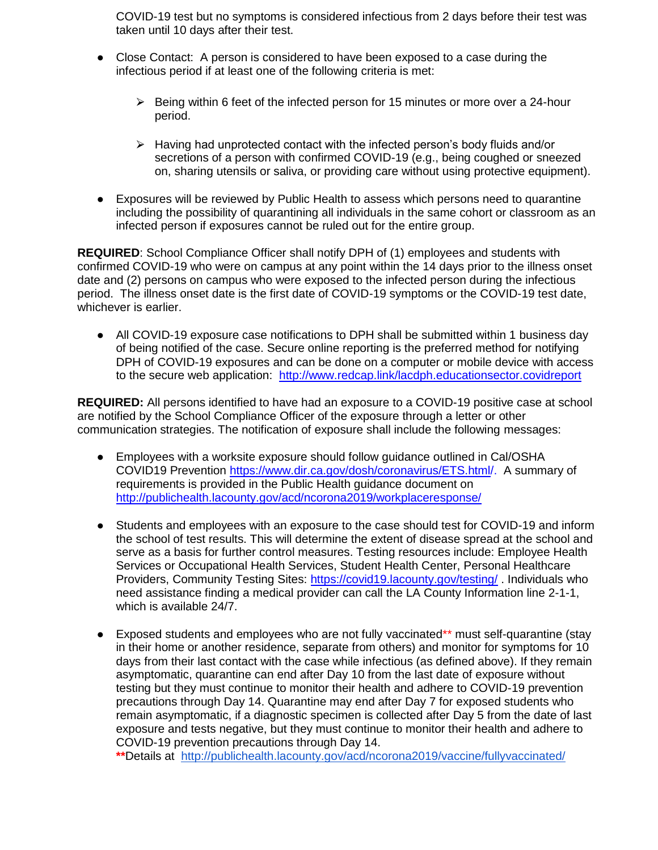COVID-19 test but no symptoms is considered infectious from 2 days before their test was taken until 10 days after their test.

- Close Contact: A person is considered to have been exposed to a case during the infectious period if at least one of the following criteria is met:
	- $\triangleright$  Being within 6 feet of the infected person for 15 minutes or more over a 24-hour period.
	- $\triangleright$  Having had unprotected contact with the infected person's body fluids and/or secretions of a person with confirmed COVID-19 (e.g., being coughed or sneezed on, sharing utensils or saliva, or providing care without using protective equipment).
- Exposures will be reviewed by Public Health to assess which persons need to quarantine including the possibility of quarantining all individuals in the same cohort or classroom as an infected person if exposures cannot be ruled out for the entire group.

**REQUIRED**: School Compliance Officer shall notify DPH of (1) employees and students with confirmed COVID-19 who were on campus at any point within the 14 days prior to the illness onset date and (2) persons on campus who were exposed to the infected person during the infectious period. The illness onset date is the first date of COVID-19 symptoms or the COVID-19 test date, whichever is earlier.

• All COVID-19 exposure case notifications to DPH shall be submitted within 1 business day of being notified of the case. Secure online reporting is the preferred method for notifying DPH of COVID-19 exposures and can be done on a computer or mobile device with access to the secure web application: <http://www.redcap.link/lacdph.educationsector.covidreport>

**REQUIRED:** All persons identified to have had an exposure to a COVID-19 positive case at school are notified by the School Compliance Officer of the exposure through a letter or other communication strategies. The notification of exposure shall include the following messages:

- Employees with a worksite exposure should follow guidance outlined in Cal/OSHA COVID19 Prevention [https://www.dir.ca.gov/dosh/coronavirus/ETS.html/](https://www.dir.ca.gov/dosh/coronavirus/ETS.html). A summary of requirements is provided in the Public Health guidance document on <http://publichealth.lacounty.gov/acd/ncorona2019/workplaceresponse/>
- Students and employees with an exposure to the case should test for COVID-19 and inform the school of test results. This will determine the extent of disease spread at the school and serve as a basis for further control measures. Testing resources include: Employee Health Services or Occupational Health Services, Student Health Center, Personal Healthcare Providers, Community Testing Sites:<https://covid19.lacounty.gov/testing/> . Individuals who need assistance finding a medical provider can call the LA County Information line 2-1-1, which is available 24/7.
- Exposed students and employees who are not fully vaccinated\*\* must self-quarantine (stay in their home or another residence, separate from others) and monitor for symptoms for 10 days from their last contact with the case while infectious (as defined above). If they remain asymptomatic, quarantine can end after Day 10 from the last date of exposure without testing but they must continue to monitor their health and adhere to COVID-19 prevention precautions through Day 14. Quarantine may end after Day 7 for exposed students who remain asymptomatic, if a diagnostic specimen is collected after Day 5 from the date of last exposure and tests negative, but they must continue to monitor their health and adhere to COVID-19 prevention precautions through Day 14.

**\*\***Details at <http://publichealth.lacounty.gov/acd/ncorona2019/vaccine/fullyvaccinated/>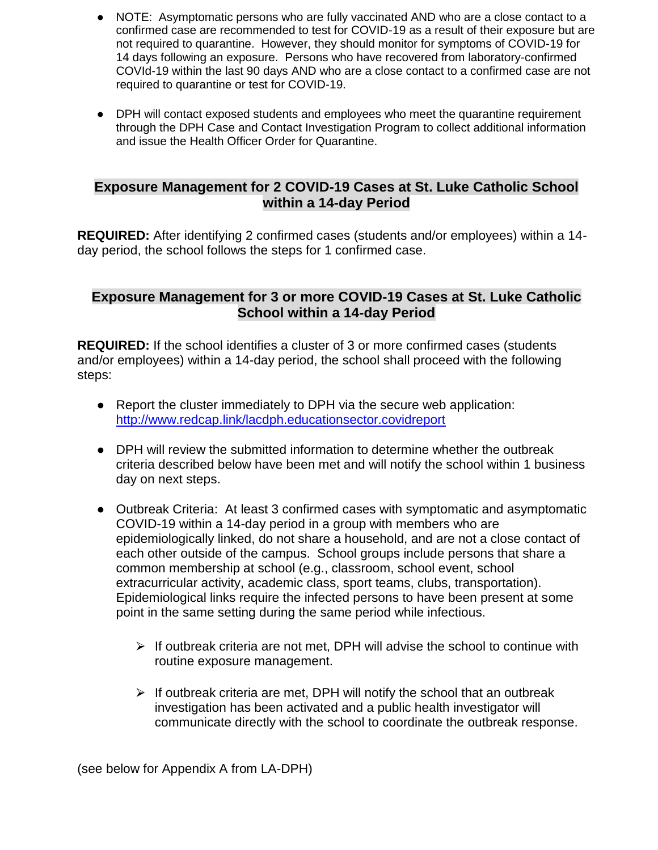- NOTE: Asymptomatic persons who are fully vaccinated AND who are a close contact to a confirmed case are recommended to test for COVID-19 as a result of their exposure but are not required to quarantine. However, they should monitor for symptoms of COVID-19 for 14 days following an exposure. Persons who have recovered from laboratory-confirmed COVId-19 within the last 90 days AND who are a close contact to a confirmed case are not required to quarantine or test for COVID-19.
- DPH will contact exposed students and employees who meet the quarantine requirement through the DPH Case and Contact Investigation Program to collect additional information and issue the Health Officer Order for Quarantine.

## **Exposure Management for 2 COVID-19 Cases at St. Luke Catholic School within a 14-day Period**

**REQUIRED:** After identifying 2 confirmed cases (students and/or employees) within a 14 day period, the school follows the steps for 1 confirmed case.

### **Exposure Management for 3 or more COVID-19 Cases at St. Luke Catholic School within a 14-day Period**

**REQUIRED:** If the school identifies a cluster of 3 or more confirmed cases (students and/or employees) within a 14-day period, the school shall proceed with the following steps:

- Report the cluster immediately to DPH via the secure web application: <http://www.redcap.link/lacdph.educationsector.covidreport>
- DPH will review the submitted information to determine whether the outbreak criteria described below have been met and will notify the school within 1 business day on next steps.
- Outbreak Criteria: At least 3 confirmed cases with symptomatic and asymptomatic COVID-19 within a 14-day period in a group with members who are epidemiologically linked, do not share a household, and are not a close contact of each other outside of the campus. School groups include persons that share a common membership at school (e.g., classroom, school event, school extracurricular activity, academic class, sport teams, clubs, transportation). Epidemiological links require the infected persons to have been present at some point in the same setting during the same period while infectious.
	- $\triangleright$  If outbreak criteria are not met, DPH will advise the school to continue with routine exposure management.
	- $\triangleright$  If outbreak criteria are met, DPH will notify the school that an outbreak investigation has been activated and a public health investigator will communicate directly with the school to coordinate the outbreak response.

(see below for Appendix A from LA-DPH)